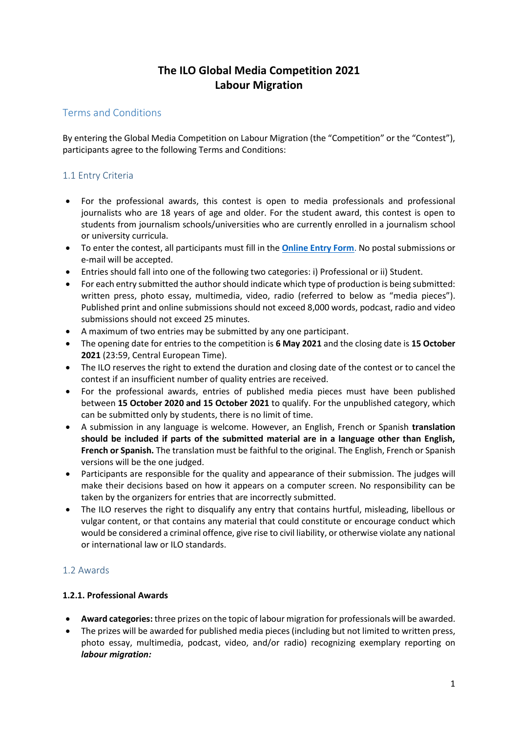# **The ILO Global Media Competition 2021 Labour Migration**

# Terms and Conditions

By entering the Global Media Competition on Labour Migration (the "Competition" or the "Contest"), participants agree to the following Terms and Conditions:

# 1.1 Entry Criteria

- For the professional awards, this contest is open to media professionals and professional journalists who are 18 years of age and older. For the student award, this contest is open to students from journalism schools/universities who are currently enrolled in a journalism school or university curricula.
- To enter the contest, all participants must fill in the **[Online Entry Form](https://www.ilo.org/gimi/GMC.action)**. No postal submissions or e-mail will be accepted.
- Entries should fall into one of the following two categories: i) Professional or ii) Student.
- For each entry submitted the author should indicate which type of production is being submitted: written press, photo essay, multimedia, video, radio (referred to below as "media pieces"). Published print and online submissions should not exceed 8,000 words, podcast, radio and video submissions should not exceed 25 minutes.
- A maximum of two entries may be submitted by any one participant.
- The opening date for entries to the competition is **6 May 2021** and the closing date is **15 October 2021** (23:59, Central European Time).
- The ILO reserves the right to extend the duration and closing date of the contest or to cancel the contest if an insufficient number of quality entries are received.
- For the professional awards, entries of published media pieces must have been published between **15 October 2020 and 15 October 2021** to qualify. For the unpublished category, which can be submitted only by students, there is no limit of time.
- A submission in any language is welcome. However, an English, French or Spanish **translation should be included if parts of the submitted material are in a language other than English, French or Spanish.** The translation must be faithful to the original. The English, French or Spanish versions will be the one judged.
- Participants are responsible for the quality and appearance of their submission. The judges will make their decisions based on how it appears on a computer screen. No responsibility can be taken by the organizers for entries that are incorrectly submitted.
- The ILO reserves the right to disqualify any entry that contains hurtful, misleading, libellous or vulgar content, or that contains any material that could constitute or encourage conduct which would be considered a criminal offence, give rise to civil liability, or otherwise violate any national or international law or ILO standards.

## 1.2 Awards

## **1.2.1. Professional Awards**

- **Award categories:** three prizes on the topic of labour migration for professionals will be awarded.
- The prizes will be awarded for published media pieces (including but not limited to written press, photo essay, multimedia, podcast, video, and/or radio) recognizing exemplary reporting on *labour migration:*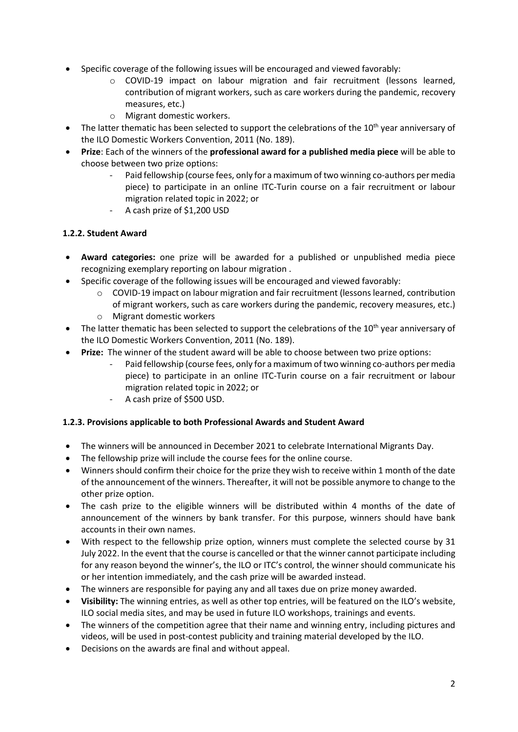- Specific coverage of the following issues will be encouraged and viewed favorably:
	- o COVID-19 impact on labour migration and fair recruitment (lessons learned, contribution of migrant workers, such as care workers during the pandemic, recovery measures, etc.)
	- o Migrant domestic workers.
- The latter thematic has been selected to support the celebrations of the  $10<sup>th</sup>$  year anniversary of the ILO Domestic Workers Convention, 2011 (No. 189).
- **Prize**: Each of the winners of the **professional award for a published media piece** will be able to choose between two prize options:
	- Paid fellowship (course fees, only for a maximum of two winning co-authors per media piece) to participate in an online ITC-Turin course on a fair recruitment or labour migration related topic in 2022; or
	- A cash prize of \$1,200 USD

## **1.2.2. Student Award**

- **Award categories:** one prize will be awarded for a published or unpublished media piece recognizing exemplary reporting on labour migration .
- Specific coverage of the following issues will be encouraged and viewed favorably:
	- $\circ$  COVID-19 impact on labour migration and fair recruitment (lessons learned, contribution of migrant workers, such as care workers during the pandemic, recovery measures, etc.)
	- o Migrant domestic workers
- $\bullet$  The latter thematic has been selected to support the celebrations of the 10<sup>th</sup> year anniversary of the ILO Domestic Workers Convention, 2011 (No. 189).
- **Prize:** The winner of the student award will be able to choose between two prize options:
	- Paid fellowship (course fees, only for a maximum of two winning co-authors per media piece) to participate in an online ITC-Turin course on a fair recruitment or labour migration related topic in 2022; or
	- A cash prize of \$500 USD.

### **1.2.3. Provisions applicable to both Professional Awards and Student Award**

- The winners will be announced in December 2021 to celebrate International Migrants Day.
- The fellowship prize will include the course fees for the online course.
- Winners should confirm their choice for the prize they wish to receive within 1 month of the date of the announcement of the winners. Thereafter, it will not be possible anymore to change to the other prize option.
- The cash prize to the eligible winners will be distributed within 4 months of the date of announcement of the winners by bank transfer. For this purpose, winners should have bank accounts in their own names.
- With respect to the fellowship prize option, winners must complete the selected course by 31 July 2022. In the event that the course is cancelled or that the winner cannot participate including for any reason beyond the winner's, the ILO or ITC's control, the winner should communicate his or her intention immediately, and the cash prize will be awarded instead.
- The winners are responsible for paying any and all taxes due on prize money awarded.
- **Visibility:** The winning entries, as well as other top entries, will be featured on the ILO's website, ILO social media sites, and may be used in future ILO workshops, trainings and events.
- The winners of the competition agree that their name and winning entry, including pictures and videos, will be used in post-contest publicity and training material developed by the ILO.
- Decisions on the awards are final and without appeal.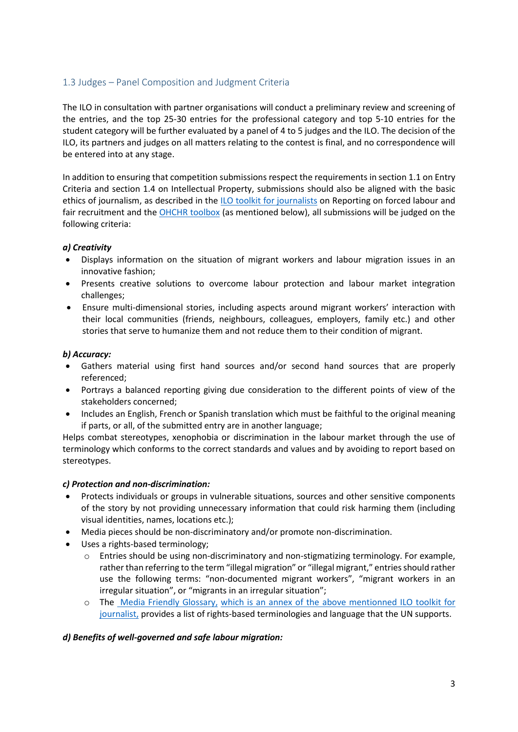# 1.3 Judges – Panel Composition and Judgment Criteria

The ILO in consultation with partner organisations will conduct a preliminary review and screening of the entries, and the top 25-30 entries for the professional category and top 5-10 entries for the student category will be further evaluated by a panel of 4 to 5 judges and the ILO. The decision of the ILO, its partners and judges on all matters relating to the contest is final, and no correspondence will be entered into at any stage.

In addition to ensuring that competition submissions respect the requirements in section 1.1 on Entry Criteria and section 1.4 on Intellectual Property, submissions should also be aligned with the basic ethics of journalism, as described in the [ILO toolkit for journalists](https://readymag.com/ITCILO/1292461/) on Reporting on forced labour and fair recruitment and the [OHCHR toolbox](https://www.standup4humanrights.org/migration/en/toolbox.html) (as mentioned below), all submissions will be judged on the following criteria:

## *a) Creativity*

- Displays information on the situation of migrant workers and labour migration issues in an innovative fashion;
- Presents creative solutions to overcome labour protection and labour market integration challenges;
- Ensure multi-dimensional stories, including aspects around migrant workers' interaction with their local communities (friends, neighbours, colleagues, employers, family etc.) and other stories that serve to humanize them and not reduce them to their condition of migrant.

## *b) Accuracy:*

- Gathers material using first hand sources and/or second hand sources that are properly referenced;
- Portrays a balanced reporting giving due consideration to the different points of view of the stakeholders concerned;
- Includes an English, French or Spanish translation which must be faithful to the original meaning if parts, or all, of the submitted entry are in another language;

Helps combat stereotypes, xenophobia or discrimination in the labour market through the use of terminology which conforms to the correct standards and values and by avoiding to report based on stereotypes.

### *c) Protection and non-discrimination:*

- Protects individuals or groups in vulnerable situations, sources and other sensitive components of the story by not providing unnecessary information that could risk harming them (including visual identities, names, locations etc.);
- Media pieces should be non-discriminatory and/or promote non-discrimination.
- Uses a rights-based terminology;
	- o Entries should be using non-discriminatory and non-stigmatizing terminology. For example, rather than referring to the term "illegal migration" or "illegal migrant," entries should rather use the following terms: "non-documented migrant workers", "migrant workers in an irregular situation", or "migrants in an irregular situation";
	- o The [Media Friendly Glossary,](https://readymag.com/ITCILO/1292461/) which is an annex of the above mentionned ILO toolkit for journalist, provides a list of rights-based terminologies and language that the UN supports.

### *d) Benefits of well-governed and safe labour migration:*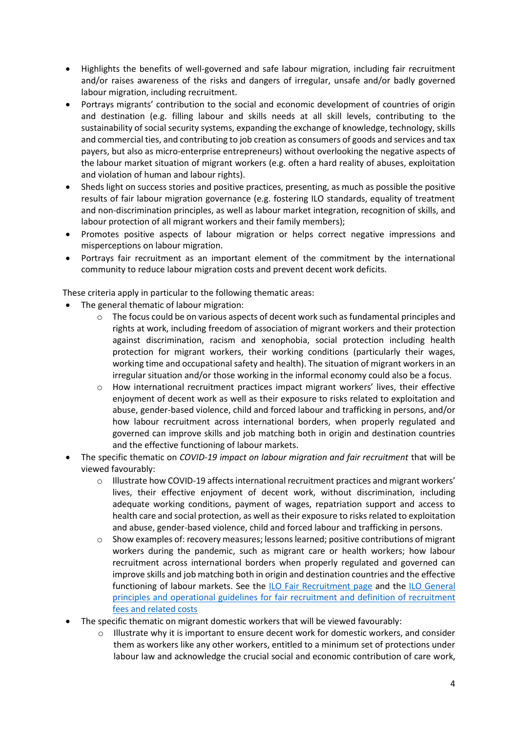- Highlights the benefits of well-governed and safe labour migration, including fair recruitment and/or raises awareness of the risks and dangers of irregular, unsafe and/or badly governed labour migration, including recruitment.
- Portrays migrants' contribution to the social and economic development of countries of origin and destination (e.g. filling labour and skills needs at all skill levels, contributing to the sustainability of social security systems, expanding the exchange of knowledge, technology, skills and commercial ties, and contributing to job creation as consumers of goods and services and tax payers, but also as micro-enterprise entrepreneurs) without overlooking the negative aspects of the labour market situation of migrant workers (e.g. often a hard reality of abuses, exploitation and violation of human and labour rights).
- Sheds light on success stories and positive practices, presenting, as much as possible the positive results of fair labour migration governance (e.g. fostering ILO standards, equality of treatment and non-discrimination principles, as well as labour market integration, recognition of skills, and labour protection of all migrant workers and their family members);
- Promotes positive aspects of labour migration or helps correct negative impressions and misperceptions on labour migration.
- Portrays fair recruitment as an important element of the commitment by the international community to reduce labour migration costs and prevent decent work deficits.

These criteria apply in particular to the following thematic areas:

- The general thematic of labour migration:
	- $\circ$  The focus could be on various aspects of decent work such as fundamental principles and rights at work, including freedom of association of migrant workers and their protection against discrimination, racism and xenophobia, social protection including health protection for migrant workers, their working conditions (particularly their wages, working time and occupational safety and health). The situation of migrant workers in an irregular situation and/or those working in the informal economy could also be a focus.
	- o How international recruitment practices impact migrant workers' lives, their effective enjoyment of decent work as well as their exposure to risks related to exploitation and abuse, gender-based violence, child and forced labour and trafficking in persons, and/or how labour recruitment across international borders, when properly regulated and governed can improve skills and job matching both in origin and destination countries and the effective functioning of labour markets.
- The specific thematic on *COVID-19 impact on labour migration and fair recruitment* that will be viewed favourably:
	- $\circ$  Illustrate how COVID-19 affects international recruitment practices and migrant workers' lives, their effective enjoyment of decent work, without discrimination, including adequate working conditions, payment of wages, repatriation support and access to health care and social protection, as well as their exposure to risks related to exploitation and abuse, gender-based violence, child and forced labour and trafficking in persons.
	- $\circ$  Show examples of: recovery measures; lessons learned; positive contributions of migrant workers during the pandemic, such as migrant care or health workers; how labour recruitment across international borders when properly regulated and governed can improve skills and job matching both in origin and destination countries and the effective functioning of labour markets. See the [ILO Fair Recruitment page](https://www.ilo.org/global/topics/fair-recruitment/lang--en/index.htm) and the [ILO General](https://www.ilo.org/global/topics/fair-recruitment/WCMS_536755/lang--en/index.htm)  [principles and operational guidelines for fair recruitment and definition of recruitment](https://www.ilo.org/global/topics/fair-recruitment/WCMS_536755/lang--en/index.htm)  [fees and related costs](https://www.ilo.org/global/topics/fair-recruitment/WCMS_536755/lang--en/index.htm)
- The specific thematic on migrant domestic workers that will be viewed favourably:
	- $\circ$  Illustrate why it is important to ensure decent work for domestic workers, and consider them as workers like any other workers, entitled to a minimum set of protections under labour law and acknowledge the crucial social and economic contribution of care work,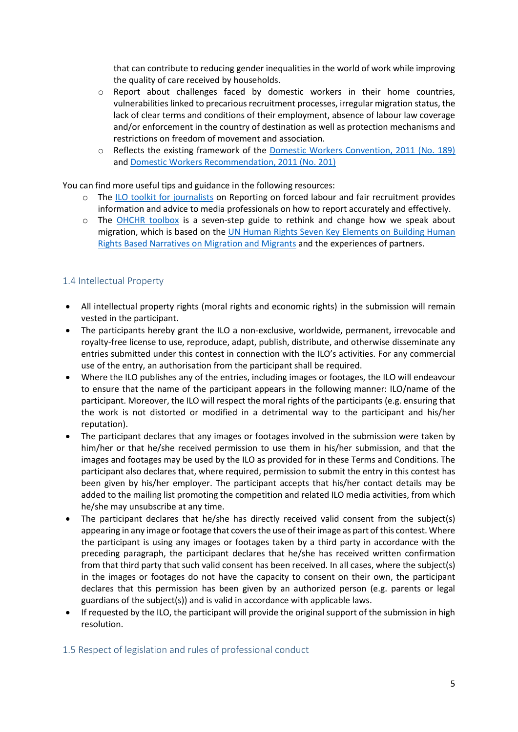that can contribute to reducing gender inequalities in the world of work while improving the quality of care received by households.

- $\circ$  Report about challenges faced by domestic workers in their home countries, vulnerabilities linked to precarious recruitment processes, irregular migration status, the lack of clear terms and conditions of their employment, absence of labour law coverage and/or enforcement in the country of destination as well as protection mechanisms and restrictions on freedom of movement and association.
- o Reflects the existing framework of the [Domestic Workers Convention, 2011 \(No. 189\)](https://www.ilo.org/dyn/normlex/en/f?p=NORMLEXPUB:12100:0::NO::P12100_ILO_CODE:C189) and [Domestic Workers Recommendation, 2011 \(No. 201\)](https://www.ilo.org/dyn/normlex/en/f?p=NORMLEXPUB:12100:0::NO:12100:P12100_INSTRUMENT_ID:2551502:NO)

You can find more useful tips and guidance in the following resources:

- The [ILO toolkit for journalists](https://readymag.com/ITCILO/1292461/) on Reporting on forced labour and fair recruitment provides information and advice to media professionals on how to report accurately and effectively.
- $\circ$  The [OHCHR toolbox](https://www.standup4humanrights.org/migration/en/toolbox.html) is a seven-step guide to rethink and change how we speak about migration, which is based on the UN Human Rights Seven Key Elements on Building Human [Rights Based Narratives on Migration and Migrants](https://www.standup4humanrights.org/migration/pdf/UN-Introduction.pdf) and the experiences of partners.

## 1.4 Intellectual Property

- All intellectual property rights (moral rights and economic rights) in the submission will remain vested in the participant.
- The participants hereby grant the ILO a non-exclusive, worldwide, permanent, irrevocable and royalty-free license to use, reproduce, adapt, publish, distribute, and otherwise disseminate any entries submitted under this contest in connection with the ILO's activities. For any commercial use of the entry, an authorisation from the participant shall be required.
- Where the ILO publishes any of the entries, including images or footages, the ILO will endeavour to ensure that the name of the participant appears in the following manner: ILO/name of the participant. Moreover, the ILO will respect the moral rights of the participants (e.g. ensuring that the work is not distorted or modified in a detrimental way to the participant and his/her reputation).
- The participant declares that any images or footages involved in the submission were taken by him/her or that he/she received permission to use them in his/her submission, and that the images and footages may be used by the ILO as provided for in these Terms and Conditions. The participant also declares that, where required, permission to submit the entry in this contest has been given by his/her employer. The participant accepts that his/her contact details may be added to the mailing list promoting the competition and related ILO media activities, from which he/she may unsubscribe at any time.
- The participant declares that he/she has directly received valid consent from the subject(s) appearing in any image or footage that covers the use of their image as part of this contest. Where the participant is using any images or footages taken by a third party in accordance with the preceding paragraph, the participant declares that he/she has received written confirmation from that third party that such valid consent has been received. In all cases, where the subject(s) in the images or footages do not have the capacity to consent on their own, the participant declares that this permission has been given by an authorized person (e.g. parents or legal guardians of the subject(s)) and is valid in accordance with applicable laws.
- If requested by the ILO, the participant will provide the original support of the submission in high resolution.

### 1.5 Respect of legislation and rules of professional conduct